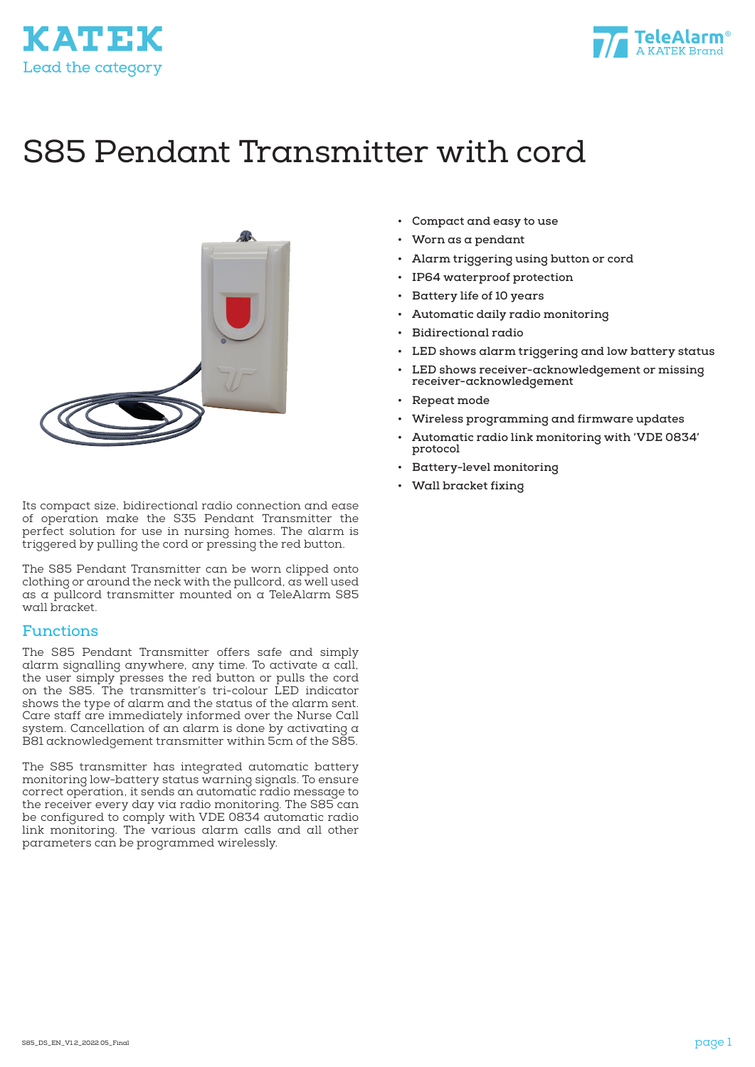



# S85 Pendant Transmitter with cord



Its compact size, bidirectional radio connection and ease of operation make the S35 Pendant Transmitter the perfect solution for use in nursing homes. The alarm is triggered by pulling the cord or pressing the red button.

The S85 Pendant Transmitter can be worn clipped onto clothing or around the neck with the pullcord, as well used as a pullcord transmitter mounted on a TeleAlarm S85 wall bracket.

#### Functions

The S85 Pendant Transmitter offers safe and simply alarm signalling anywhere, any time. To activate a call, the user simply presses the red button or pulls the cord on the S85. The transmitter's tri-colour LED indicator shows the type of alarm and the status of the alarm sent. Care staff are immediately informed over the Nurse Call system. Cancellation of an alarm is done by activating a B81 acknowledgement transmitter within 5cm of the S85.

The S85 transmitter has integrated automatic battery monitoring low-battery status warning signals. To ensure correct operation, it sends an automatic radio message to the receiver every day via radio monitoring. The S85 can be configured to comply with VDE 0834 automatic radio link monitoring. The various alarm calls and all other parameters can be programmed wirelessly.

- **• Compact and easy to use**
- **• Worn as a pendant**
- **• Alarm triggering using button or cord**
- **• IP64 waterproof protection**
- **• Battery life of 10 years**
- **• Automatic daily radio monitoring**
- **• Bidirectional radio**
- **• LED shows alarm triggering and low battery status**
- **• LED shows receiver-acknowledgement or missing receiver-acknowledgement**
- **• Repeat mode**
- **• Wireless programming and firmware updates**
- **• Automatic radio link monitoring with 'VDE 0834' protocol**
- **• Battery-level monitoring**
- **• Wall bracket fixing**